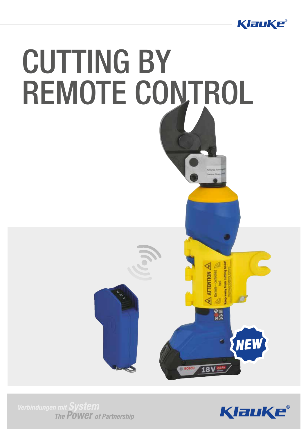



The **POWEY** of Partnership

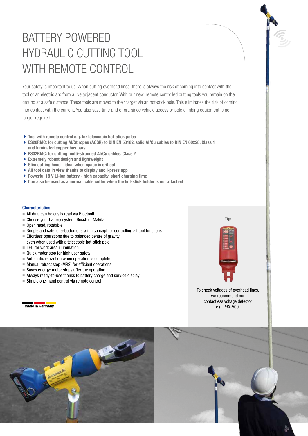## BATTERY POWERED HYDRAULIC CUTTING TOOL WITH REMOTE CONTROL

Your safety is important to us: When cutting overhead lines, there is always the risk of coming into contact with the tool or an electric arc from a live adjacent conductor. With our new, remote controlled cutting tools you remain on the ground at a safe distance. These tools are moved to their target via an hot-stick pole. This eliminates the risk of coming into contact with the current. You also save time and effort, since vehicle access or pole climbing equipment is no longer required.

- ▶ Tool with remote control e.g. for telescopic hot-stick poles
- ▶ ES20RMC: for cutting Al/St ropes (ACSR) to DIN EN 50182, solid Al/Cu cables to DIN EN 60228, Class 1 and laminated copper bus bars
- ES32RMC: for cutting multi-stranded Al/Cu cables, Class 2
- Extremely robust design and lightweight
- Slim cutting head ideal when space is critical
- All tool data in view thanks to display and i-press app
- ▶ Powerful 18 V Li-Ion battery high capacity, short charging time
- Can also be used as a normal cable cutter when the hot-stick holder is not attached

## **Characteristics**

- $\blacksquare$  All data can be easily read via Bluetooth
- Choose your battery system: Bosch or Makita
- $\blacksquare$  Open head, rotatable
- $\blacksquare$  Simple and safe: one-button operating concept for controlling all tool functions
- $\blacksquare$  Effortless operations due to balanced centre of gravity, even when used with a telescopic hot-stick pole
- $\blacksquare$  LED for work area illumination
- $\blacksquare$  Quick motor stop for high user safety
- $\blacksquare$  Automatic retraction when operation is complete
- $\blacksquare$  Manual retract stop (MRS) for efficient operations
- $\blacksquare$  Saves energy: motor stops after the operation
- $\blacksquare$  Always ready-to-use thanks to battery charge and service display
- Simple one-hand control via remote control

made in Germany



To check voltages of overhead lines, we recommend our contactless voltage detector e.g. PRX-500.

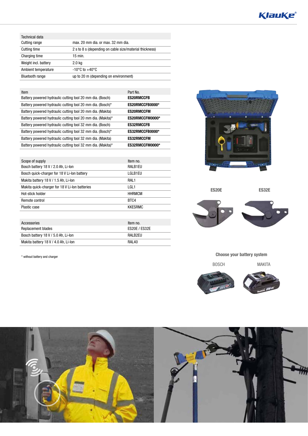| <b>Technical data</b>  |                                                         |
|------------------------|---------------------------------------------------------|
| Cutting range          | max. 20 mm dia, or max. 32 mm dia.                      |
| Cutting time           | 2 s to 8 s (depending on cable size/material thickness) |
| Charging time          | $15$ min.                                               |
| Weight incl. battery   | 2.0 <sub>kq</sub>                                       |
| Ambient temperature    | $-10^{\circ}$ C to $+40^{\circ}$ C                      |
| <b>Bluetooth range</b> | up to 20 m (depending on environment)                   |

| Item                                                        | Part No.          |
|-------------------------------------------------------------|-------------------|
| Battery powered hydraulic cutting tool 20 mm dia. (Bosch)   | <b>ES20RMCCFB</b> |
| Battery powered hydraulic cutting tool 20 mm dia. (Bosch)*  | ES20RMCCFB0000*   |
| Battery powered hydraulic cutting tool 20 mm dia. (Makita)  | <b>ES20RMCCFM</b> |
| Battery powered hydraulic cutting tool 20 mm dia. (Makita)* | ES20RMCCFM0000*   |
| Battery powered hydraulic cutting tool 32 mm dia. (Bosch)   | <b>ES32RMCCFB</b> |
| Battery powered hydraulic cutting tool 32 mm dia. (Bosch)*  | ES32RMCCFB0000*   |
| Battery powered hydraulic cutting tool 32 mm dia. (Makita)  | <b>ES32RMCCFM</b> |
| Battery powered hydraulic cutting tool 32 mm dia. (Makita)* | ES32RMCCFM0000*   |

| Scope of supply                                | Item no.             |
|------------------------------------------------|----------------------|
| Bosch battery 18 V / 2.0 Ah, Li-Ion            | RALB1EU              |
| Bosch quick-charger for 18 V Li-lon battery    | LGLB1EU              |
| Makita battery 18 V / 1.5 Ah, Li-Ion           | RAL <sub>1</sub>     |
| Makita guick-charger for 18 V Li-Ion batteries | LGL <sub>1</sub>     |
| Hot-stick holder                               | <b>HHRMCM</b>        |
| Remote control                                 | BTC4                 |
| Plastic case                                   | <b>KKESRMC</b>       |
|                                                |                      |
| Accessories                                    | Item no.             |
| Replacement blades                             | <b>ES20E / ES32E</b> |
| Bosch battery 18 V / 5.0 Ah, Li-Ion            | RALB2EU              |

Makita battery 18 V / 4.0 Ah, Li-Ion RAL40

\* without battery and charger



ES20E

ES32E



Choose your battery system

BOSCH MAKITA